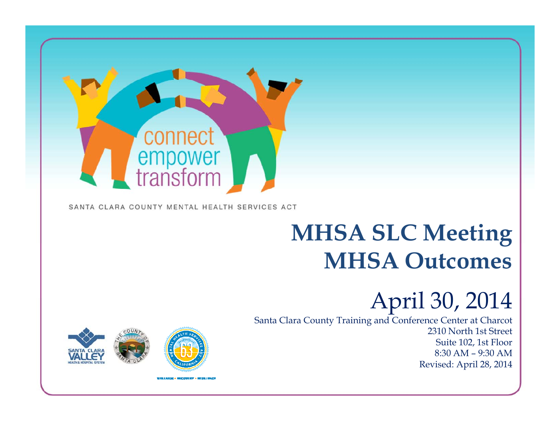

#### SANTA CLARA COUNTY MENTAL HEALTH SERVICES ACT

## **MHSA SLC Meetin g MHSA Outcomes**

### April 30*,* 2014

1

Santa Clara County Training and Conference Center at Charcot 2310 North 1st StreetSuite 102, 1st Floor 8:30 AM – 9:30 AM Revised: April 28, 2014

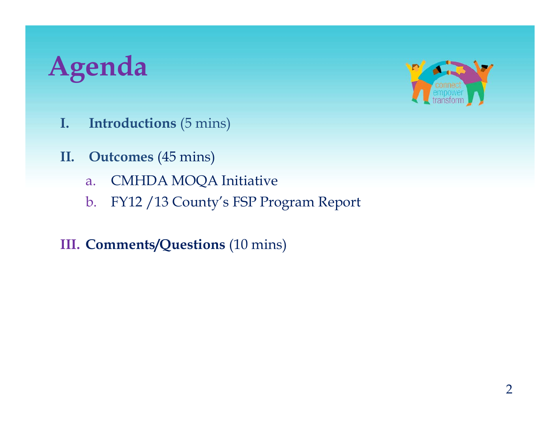## **Agenda**



- **I. Introductions** (5 mins)
- **II. Outcomes** (45 mins)
	- a.CMHDA MOQA Initiative
	- b. FY12 /13 County's FSP Program Report

#### **III. Comments/Questions** (10 mins)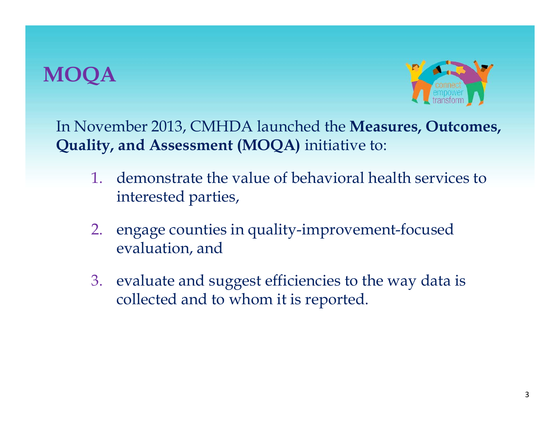#### **MO**



In November 2013, CMHDA launched the **Measures, Outcomes, Quality, and Assessment (MOQA)** initiative to:

- 1. demonstrate the value of behavioral health services to interested parties,
- 2. engage counties in quality-improvement-focused evaluation, and
- 3. evaluate and suggest efficiencies to the way data is collected and to whom it is reported.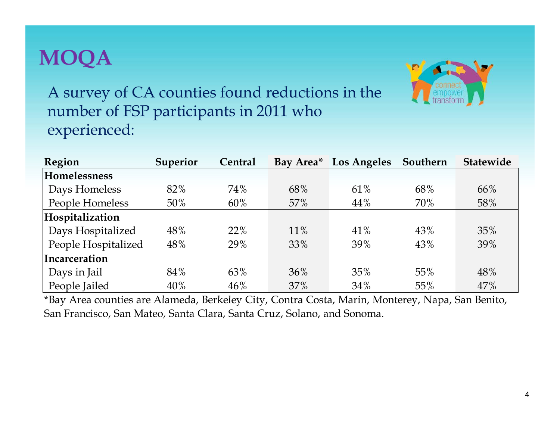#### **MOQA**



A survey of CA counties found reductions in the number of FSP participants in 2011 who experienced:

| Region              | <b>Superior</b> | Central | Bay Area <sup>*</sup> | <b>Los Angeles</b> | Southern | <b>Statewide</b> |
|---------------------|-----------------|---------|-----------------------|--------------------|----------|------------------|
| Homelessness        |                 |         |                       |                    |          |                  |
| Days Homeless       | 82%             | 74%     | 68%                   | 61%                | 68%      | 66%              |
| People Homeless     | 50%             | 60%     | 57%                   | 44%                | 70%      | 58%              |
| Hospitalization     |                 |         |                       |                    |          |                  |
| Days Hospitalized   | 48%             | 22%     | 11%                   | 41%                | 43%      | 35%              |
| People Hospitalized | 48%             | 29%     | 33%                   | 39%                | 43%      | 39%              |
| Incarceration       |                 |         |                       |                    |          |                  |
| Days in Jail        | 84%             | 63%     | 36%                   | 35%                | 55%      | 48%              |
| People Jailed       | 40%             | 46%     | 37%                   | 34%                | 55%      | 47%              |

\*Bay Area counties are Alameda, Berkeley City, Contra Costa, Marin, Monterey, Napa, San Benito, San Francisco, San Mateo, Santa Clara, Santa Cruz, Solano, and Sonoma.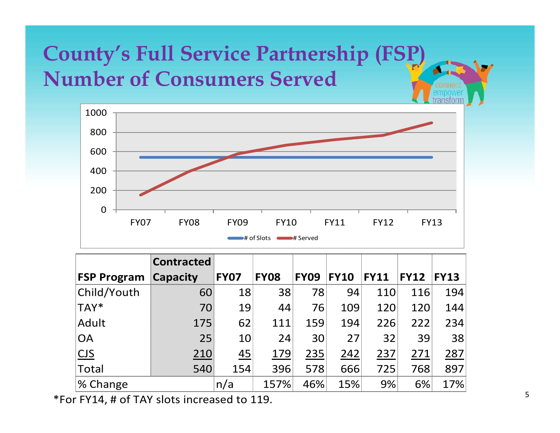### **County's Full Service Partnership (FSP) Number of Consumers Served**



|                    | <b>Contracted</b> |             |             |             |             |             |             |             |
|--------------------|-------------------|-------------|-------------|-------------|-------------|-------------|-------------|-------------|
| <b>FSP Program</b> | Capacity          | <b>FY07</b> | <b>FY08</b> | <b>FY09</b> | <b>FY10</b> | <b>FY11</b> | <b>FY12</b> | <b>FY13</b> |
| Child/Youth        | 60                | 18          | 38          | 78          | 94          | 110         | 116         | 194         |
| TAY*               | 70                | 19          | 44          | 76          | 109         | 120         | 120         | 144         |
| Adult              | 175               | 62          | 111         | 159         | 194         | 226         | 222         | 234         |
| <b>OA</b>          | 25                | 10          | 24          | 30          | 27          | 32          | 39          | 38          |
| CJS                | 210               | 45          | 179         | 235         | 242         | 237         | 271         | 287         |
| Total              | 540               | 154         | 396         | 578         | 666         | 725         | 768         | 897         |
| % Change           |                   | n/a         | 157%        | 46%         | 15%         | 9%          | 6%          | 17%         |

\*For FY14, # of TAY slots increased to 119.

ø.,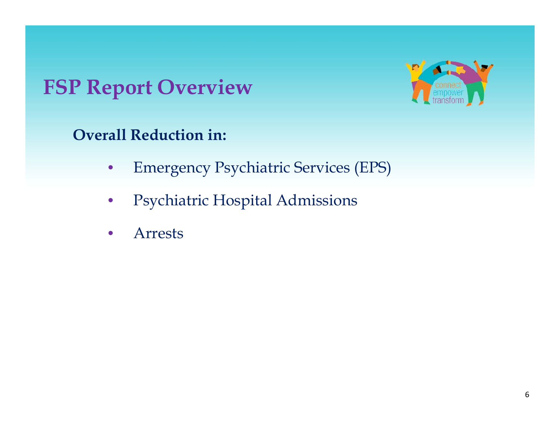#### **FSP R O i Report Overv iew**



**Overall Reduction in:** 

- $\bullet$ Emergency Psychiatric Services (EPS)
- $\bullet$ Psychiatric Hospital Admissions
- $\bullet$ Arrests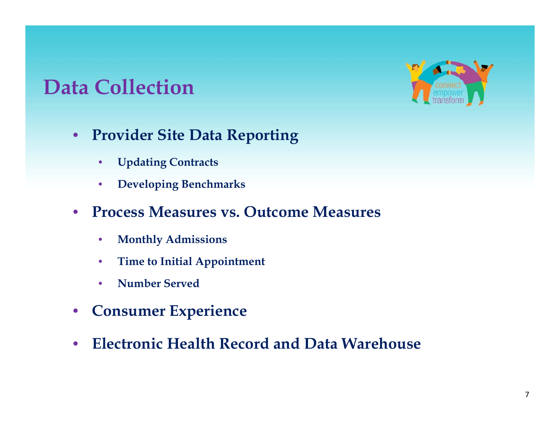#### **D C ll i Data Collection**



- $\bullet$  **Provider Site Data Reporting**
	- $\bullet$ **Updating Contracts**
	- $\bullet$ **Developing Benchmarks**
- $\bullet$  **Process Measures vs. Outcome Measures**
	- $\bullet$ **Monthly Admissions**
	- $\bullet$ **Time to Initial Appointment**
	- $\bullet$ **Number Served**
- $\bullet$ **Consumer Experience**
- $\bullet$ **Electronic Health Record and Data Warehouse**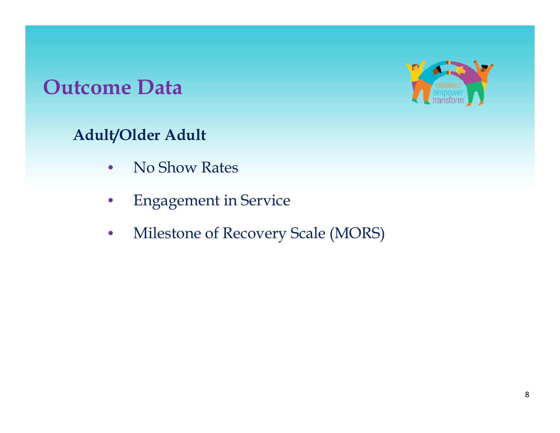#### **O D utcome Data**



#### **Adult/Older Adult**

- $\bullet$ No Show Rates
- $\bullet$ Engagement in Service
- $\bullet$ Milestone of Recovery Scale (MORS)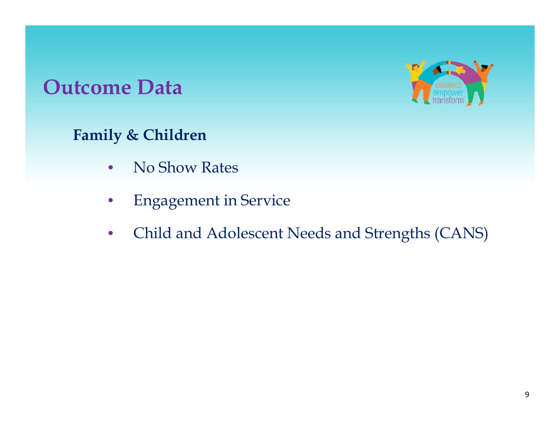#### **O D utcome Data**



**Family & Children**

- $\bullet$ No Show Rates
- •Engagement in Service
- •Child and Adolescent Needs and Strengths (CANS)